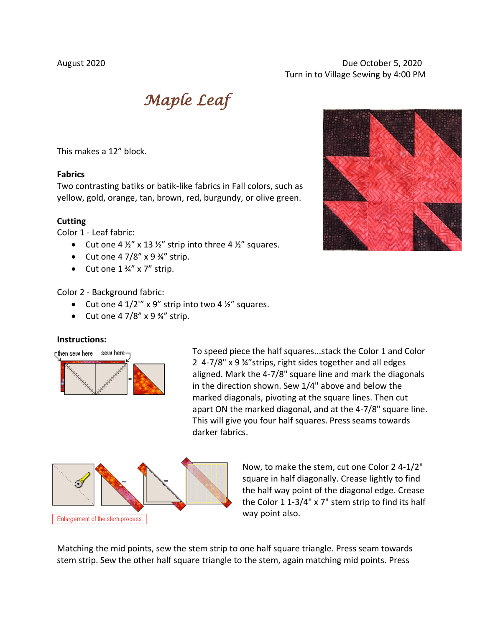# August 2020 Due October 5, 2020 Turn in to Village Sewing by 4:00 PM

*Maple Leaf* 

This makes a 12" block.

## **Fabrics**

Two contrasting batiks or batik-like fabrics in Fall colors, such as yellow, gold, orange, tan, brown, red, burgundy, or olive green.

#### **Cutting**

Color 1 - Leaf fabric:

- Cut one 4  $\frac{1}{2}$ " x 13  $\frac{1}{2}$ " strip into three 4  $\frac{1}{2}$ " squares.
- Cut one  $47/8''$  x  $9\frac{3}{4}''$  strip.
- Cut one  $1\frac{3}{4}$ " x 7" strip.

### Color 2 - Background fabric:

- Cut one 4  $1/2$ <sup>"</sup> x 9" strip into two 4  $\frac{1}{2}$ " squares.
- Cut one  $47/8''$  x  $9\frac{3}{4}''$  strip.

## **Instructions:**



To speed piece the half squares...stack the Color 1 and Color 2 4-7/8" x 9 ¾"strips, right sides together and all edges aligned. Mark the 4-7/8" square line and mark the diagonals in the direction shown. Sew 1/4" above and below the marked diagonals, pivoting at the square lines. Then cut apart ON the marked diagonal, and at the 4-7/8" square line. This will give you four half squares. Press seams towards darker fabrics.



Now, to make the stem, cut one Color 2 4-1/2" square in half diagonally. Crease lightly to find the half way point of the diagonal edge. Crease the Color 1 1-3/4" x 7" stem strip to find its half way point also.

Matching the mid points, sew the stem strip to one half square triangle. Press seam towards stem strip. Sew the other half square triangle to the stem, again matching mid points. Press